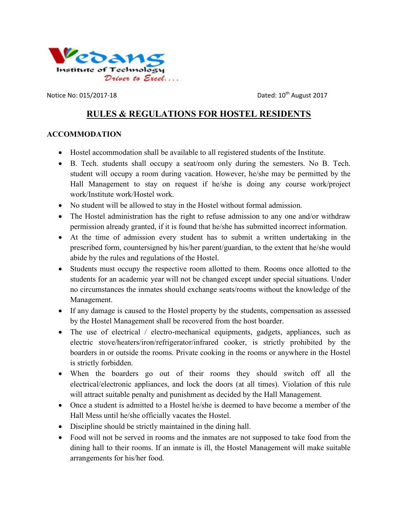

Notice No:  $015/2017-18$  Dated:  $10^{th}$  August 2017

# RULES & REGULATIONS FOR HOSTEL RESIDENTS

### ACCOMMODATION

- Hostel accommodation shall be available to all registered students of the Institute.
- B. Tech. students shall occupy a seat/room only during the semesters. No B. Tech. student will occupy a room during vacation. However, he/she may be permitted by the Hall Management to stay on request if he/she is doing any course work/project work/Institute work/Hostel work.
- No student will be allowed to stay in the Hostel without formal admission.
- The Hostel administration has the right to refuse admission to any one and/or withdraw permission already granted, if it is found that he/she has submitted incorrect information.
- At the time of admission every student has to submit a written undertaking in the prescribed form, countersigned by his/her parent/guardian, to the extent that he/she would abide by the rules and regulations of the Hostel.
- Students must occupy the respective room allotted to them. Rooms once allotted to the students for an academic year will not be changed except under special situations. Under no circumstances the inmates should exchange seats/rooms without the knowledge of the Management.
- If any damage is caused to the Hostel property by the students, compensation as assessed by the Hostel Management shall be recovered from the host boarder.
- The use of electrical / electro-mechanical equipments, gadgets, appliances, such as electric stove/heaters/iron/refrigerator/infrared cooker, is strictly prohibited by the boarders in or outside the rooms. Private cooking in the rooms or anywhere in the Hostel is strictly forbidden.
- When the boarders go out of their rooms they should switch off all the electrical/electronic appliances, and lock the doors (at all times). Violation of this rule will attract suitable penalty and punishment as decided by the Hall Management.
- Once a student is admitted to a Hostel he/she is deemed to have become a member of the Hall Mess until he/she officially vacates the Hostel.
- Discipline should be strictly maintained in the dining hall.
- Food will not be served in rooms and the inmates are not supposed to take food from the dining hall to their rooms. If an inmate is ill, the Hostel Management will make suitable arrangements for his/her food.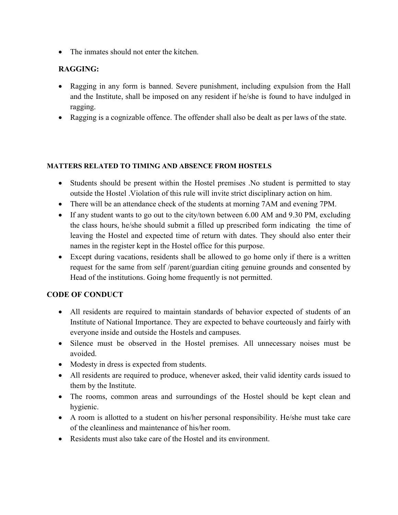• The inmates should not enter the kitchen.

# RAGGING:

- Ragging in any form is banned. Severe punishment, including expulsion from the Hall and the Institute, shall be imposed on any resident if he/she is found to have indulged in ragging.
- Ragging is a cognizable offence. The offender shall also be dealt as per laws of the state.

#### MATTERS RELATED TO TIMING AND ABSENCE FROM HOSTELS

- Students should be present within the Hostel premises .No student is permitted to stay outside the Hostel .Violation of this rule will invite strict disciplinary action on him.
- There will be an attendance check of the students at morning 7AM and evening 7PM.
- If any student wants to go out to the city/town between 6.00 AM and 9.30 PM, excluding the class hours, he/she should submit a filled up prescribed form indicating the time of leaving the Hostel and expected time of return with dates. They should also enter their names in the register kept in the Hostel office for this purpose.
- Except during vacations, residents shall be allowed to go home only if there is a written request for the same from self /parent/guardian citing genuine grounds and consented by Head of the institutions. Going home frequently is not permitted.

# CODE OF CONDUCT

- All residents are required to maintain standards of behavior expected of students of an Institute of National Importance. They are expected to behave courteously and fairly with everyone inside and outside the Hostels and campuses.
- Silence must be observed in the Hostel premises. All unnecessary noises must be avoided.
- Modesty in dress is expected from students.
- All residents are required to produce, whenever asked, their valid identity cards issued to them by the Institute.
- The rooms, common areas and surroundings of the Hostel should be kept clean and hygienic.
- A room is allotted to a student on his/her personal responsibility. He/she must take care of the cleanliness and maintenance of his/her room.
- Residents must also take care of the Hostel and its environment.